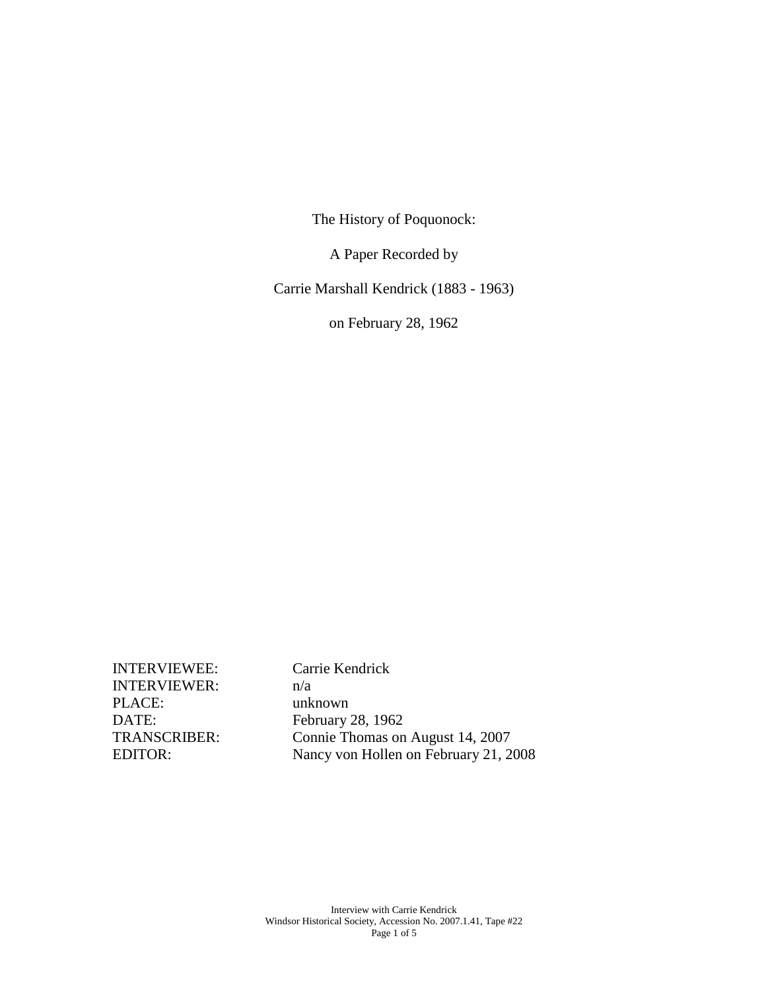The History of Poquonock:

A Paper Recorded by

Carrie Marshall Kendrick (1883 - 1963)

on February 28, 1962

INTERVIEWEE: Carrie Kendrick INTERVIEWER: n/a PLACE: unknown DATE: February 28, 1962

TRANSCRIBER: Connie Thomas on August 14, 2007 EDITOR: Nancy von Hollen on February 21, 2008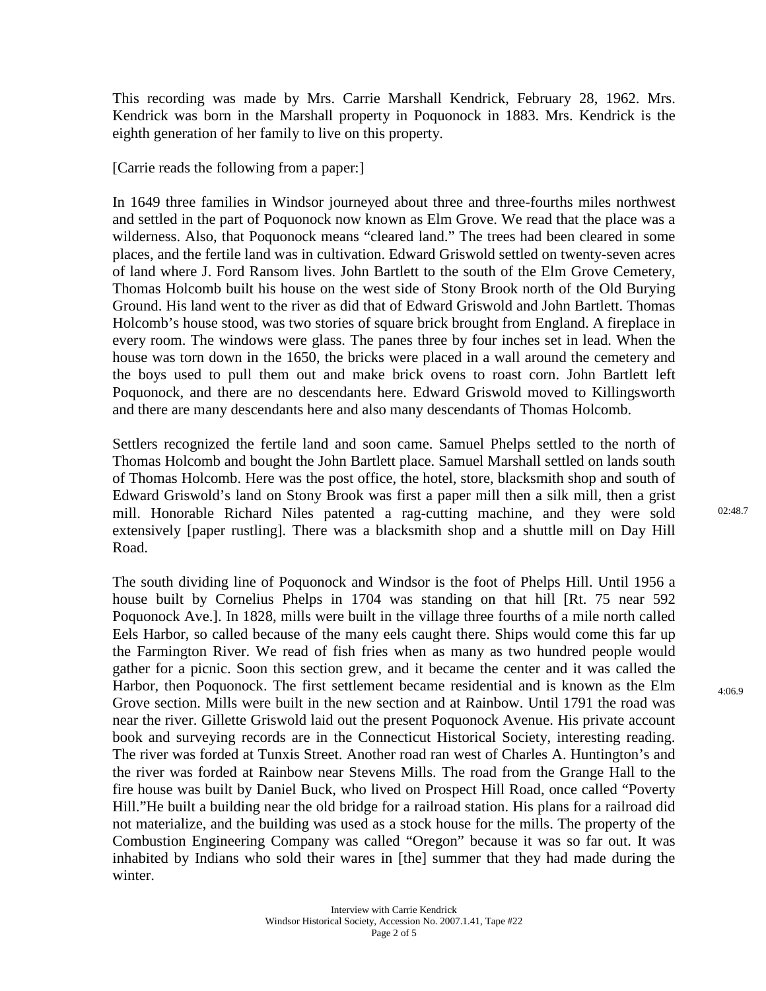This recording was made by Mrs. Carrie Marshall Kendrick, February 28, 1962. Mrs. Kendrick was born in the Marshall property in Poquonock in 1883. Mrs. Kendrick is the eighth generation of her family to live on this property.

[Carrie reads the following from a paper:]

In 1649 three families in Windsor journeyed about three and three-fourths miles northwest and settled in the part of Poquonock now known as Elm Grove. We read that the place was a wilderness. Also, that Poquonock means "cleared land." The trees had been cleared in some places, and the fertile land was in cultivation. Edward Griswold settled on twenty-seven acres of land where J. Ford Ransom lives. John Bartlett to the south of the Elm Grove Cemetery, Thomas Holcomb built his house on the west side of Stony Brook north of the Old Burying Ground. His land went to the river as did that of Edward Griswold and John Bartlett. Thomas Holcomb's house stood, was two stories of square brick brought from England. A fireplace in every room. The windows were glass. The panes three by four inches set in lead. When the house was torn down in the 1650, the bricks were placed in a wall around the cemetery and the boys used to pull them out and make brick ovens to roast corn. John Bartlett left Poquonock, and there are no descendants here. Edward Griswold moved to Killingsworth and there are many descendants here and also many descendants of Thomas Holcomb.

Settlers recognized the fertile land and soon came. Samuel Phelps settled to the north of Thomas Holcomb and bought the John Bartlett place. Samuel Marshall settled on lands south of Thomas Holcomb. Here was the post office, the hotel, store, blacksmith shop and south of Edward Griswold's land on Stony Brook was first a paper mill then a silk mill, then a grist mill. Honorable Richard Niles patented a rag-cutting machine, and they were sold extensively [paper rustling]. There was a blacksmith shop and a shuttle mill on Day Hill Road.

The south dividing line of Poquonock and Windsor is the foot of Phelps Hill. Until 1956 a house built by Cornelius Phelps in 1704 was standing on that hill [Rt. 75 near 592 Poquonock Ave.]. In 1828, mills were built in the village three fourths of a mile north called Eels Harbor, so called because of the many eels caught there. Ships would come this far up the Farmington River. We read of fish fries when as many as two hundred people would gather for a picnic. Soon this section grew, and it became the center and it was called the Harbor, then Poquonock. The first settlement became residential and is known as the Elm Grove section. Mills were built in the new section and at Rainbow. Until 1791 the road was near the river. Gillette Griswold laid out the present Poquonock Avenue. His private account book and surveying records are in the Connecticut Historical Society, interesting reading. The river was forded at Tunxis Street. Another road ran west of Charles A. Huntington's and the river was forded at Rainbow near Stevens Mills. The road from the Grange Hall to the fire house was built by Daniel Buck, who lived on Prospect Hill Road, once called "Poverty Hill."He built a building near the old bridge for a railroad station. His plans for a railroad did not materialize, and the building was used as a stock house for the mills. The property of the Combustion Engineering Company was called "Oregon" because it was so far out. It was inhabited by Indians who sold their wares in [the] summer that they had made during the winter.

4:06.9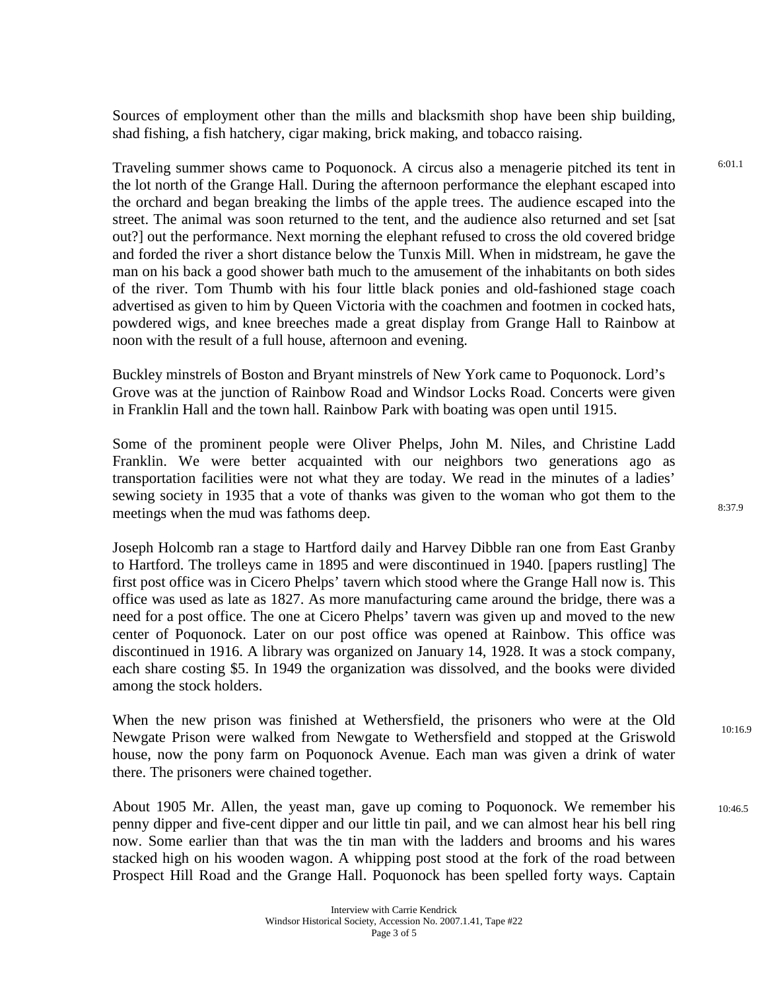Sources of employment other than the mills and blacksmith shop have been ship building, shad fishing, a fish hatchery, cigar making, brick making, and tobacco raising.

Traveling summer shows came to Poquonock. A circus also a menagerie pitched its tent in the lot north of the Grange Hall. During the afternoon performance the elephant escaped into the orchard and began breaking the limbs of the apple trees. The audience escaped into the street. The animal was soon returned to the tent, and the audience also returned and set [sat out?] out the performance. Next morning the elephant refused to cross the old covered bridge and forded the river a short distance below the Tunxis Mill. When in midstream, he gave the man on his back a good shower bath much to the amusement of the inhabitants on both sides of the river. Tom Thumb with his four little black ponies and old-fashioned stage coach advertised as given to him by Queen Victoria with the coachmen and footmen in cocked hats, powdered wigs, and knee breeches made a great display from Grange Hall to Rainbow at noon with the result of a full house, afternoon and evening.

Buckley minstrels of Boston and Bryant minstrels of New York came to Poquonock. Lord's Grove was at the junction of Rainbow Road and Windsor Locks Road. Concerts were given in Franklin Hall and the town hall. Rainbow Park with boating was open until 1915.

Some of the prominent people were Oliver Phelps, John M. Niles, and Christine Ladd Franklin. We were better acquainted with our neighbors two generations ago as transportation facilities were not what they are today. We read in the minutes of a ladies' sewing society in 1935 that a vote of thanks was given to the woman who got them to the meetings when the mud was fathoms deep.

Joseph Holcomb ran a stage to Hartford daily and Harvey Dibble ran one from East Granby to Hartford. The trolleys came in 1895 and were discontinued in 1940. [papers rustling] The first post office was in Cicero Phelps' tavern which stood where the Grange Hall now is. This office was used as late as 1827. As more manufacturing came around the bridge, there was a need for a post office. The one at Cicero Phelps' tavern was given up and moved to the new center of Poquonock. Later on our post office was opened at Rainbow. This office was discontinued in 1916. A library was organized on January 14, 1928. It was a stock company, each share costing \$5. In 1949 the organization was dissolved, and the books were divided among the stock holders.

When the new prison was finished at Wethersfield, the prisoners who were at the Old Newgate Prison were walked from Newgate to Wethersfield and stopped at the Griswold house, now the pony farm on Poquonock Avenue. Each man was given a drink of water there. The prisoners were chained together.

About 1905 Mr. Allen, the yeast man, gave up coming to Poquonock. We remember his penny dipper and five-cent dipper and our little tin pail, and we can almost hear his bell ring now. Some earlier than that was the tin man with the ladders and brooms and his wares stacked high on his wooden wagon. A whipping post stood at the fork of the road between Prospect Hill Road and the Grange Hall. Poquonock has been spelled forty ways. Captain  $10:46.5$ 

6:01.1

10:16.9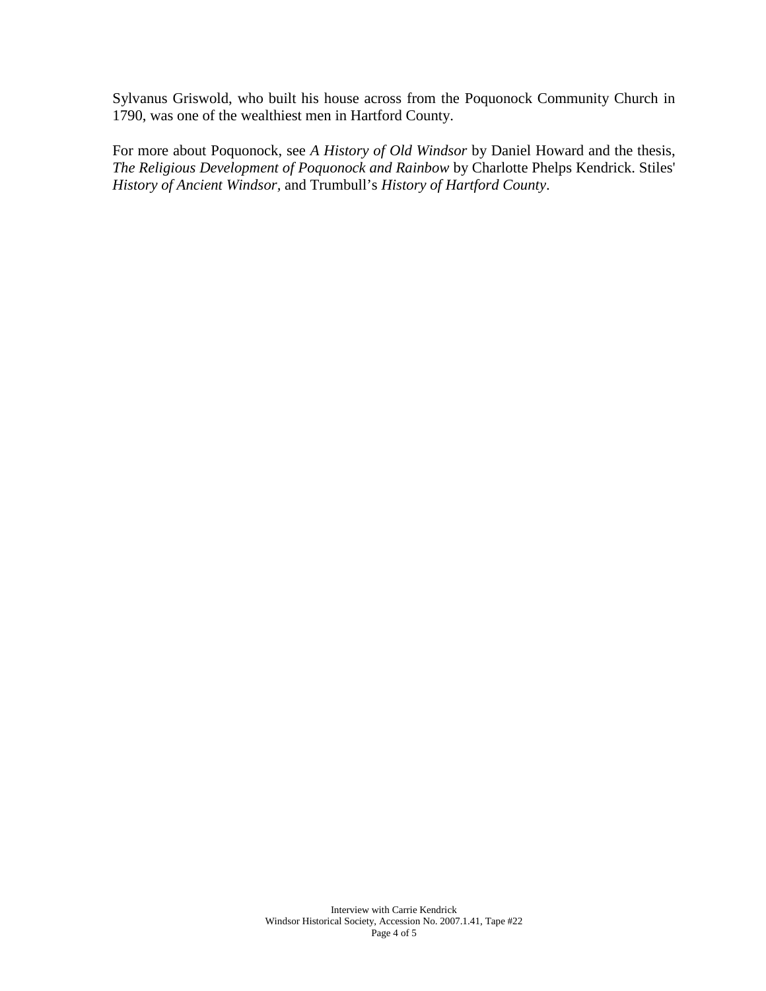Sylvanus Griswold, who built his house across from the Poquonock Community Church in 1790, was one of the wealthiest men in Hartford County.

For more about Poquonock, see *A History of Old Windsor* by Daniel Howard and the thesis, *The Religious Development of Poquonock and Rainbow* by Charlotte Phelps Kendrick. Stiles' *History of Ancient Windsor,* and Trumbull's *History of Hartford County*.